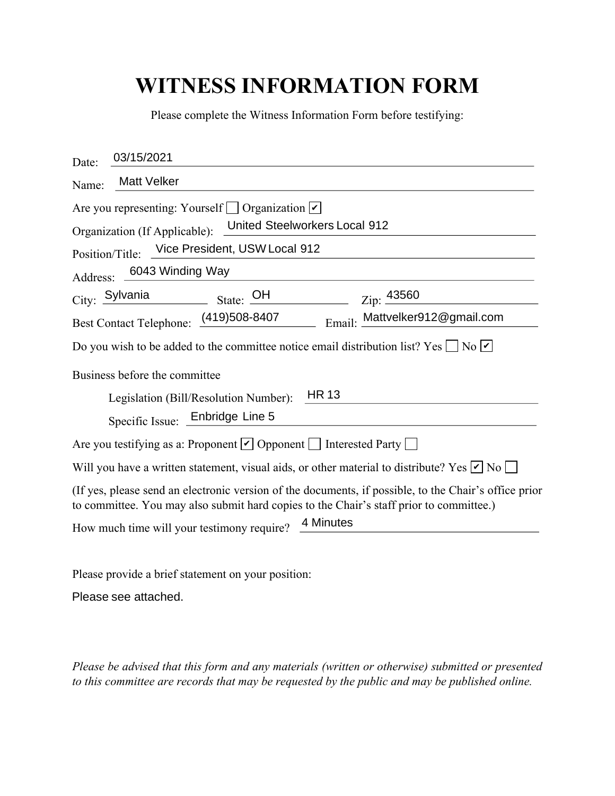## **WITNESS INFORMATION FORM**

| Please complete the Witness Information Form before testifying:                                                                                                                                  |
|--------------------------------------------------------------------------------------------------------------------------------------------------------------------------------------------------|
| 03/15/2021<br>Date:                                                                                                                                                                              |
| <b>Matt Velker</b><br>Name:                                                                                                                                                                      |
| Are you representing: Yourself $\Box$ Organization $\vert \checkmark \vert$<br>United Steelworkers Local 912<br>Organization (If Applicable):                                                    |
| Vice President, USW Local 912<br>Position/Title:                                                                                                                                                 |
| Address: 6043 Winding Way                                                                                                                                                                        |
| City: Sylvania<br>State: OH<br>Zip: 43560                                                                                                                                                        |
| Email: Mattvelker912@gmail.com<br>Best Contact Telephone: (419)508-8407                                                                                                                          |
| Do you wish to be added to the committee notice email distribution list? Yes $\Box$ No $\Box$                                                                                                    |
| Business before the committee                                                                                                                                                                    |
| <b>HR13</b><br>Legislation (Bill/Resolution Number):                                                                                                                                             |
| Specific Issue: Enbridge Line 5                                                                                                                                                                  |
| Are you testifying as a: Proponent $\vee$ Opponent $\Box$ Interested Party $\Box$                                                                                                                |
| Will you have a written statement, visual aids, or other material to distribute? Yes $\nu$ No $\Box$                                                                                             |
| (If yes, please send an electronic version of the documents, if possible, to the Chair's office prior<br>to committee. You may also submit hard copies to the Chair's staff prior to committee.) |
| 4 Minutes<br>How much time will your testimony require?                                                                                                                                          |

Please provide a brief statement on your position:

Please see attached.

*Please be advised that this form and any materials (written or otherwise) submitted or presented to this committee are records that may be requested by the public and may be published online.*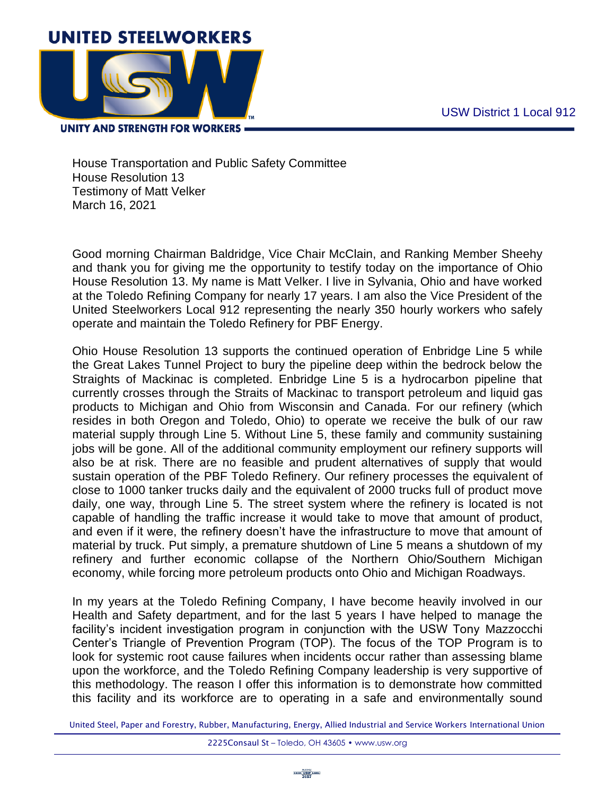

**UNITY AND STRENGTH FOR WORKERS .** 

House Transportation and Public Safety Committee House Resolution 13 Testimony of Matt Velker March 16, 2021

Good morning Chairman Baldridge, Vice Chair McClain, and Ranking Member Sheehy and thank you for giving me the opportunity to testify today on the importance of Ohio House Resolution 13. My name is Matt Velker. I live in Sylvania, Ohio and have worked at the Toledo Refining Company for nearly 17 years. I am also the Vice President of the United Steelworkers Local 912 representing the nearly 350 hourly workers who safely operate and maintain the Toledo Refinery for PBF Energy.

Ohio House Resolution 13 supports the continued operation of Enbridge Line 5 while the Great Lakes Tunnel Project to bury the pipeline deep within the bedrock below the Straights of Mackinac is completed. Enbridge Line 5 is a hydrocarbon pipeline that currently crosses through the Straits of Mackinac to transport petroleum and liquid gas products to Michigan and Ohio from Wisconsin and Canada. For our refinery (which resides in both Oregon and Toledo, Ohio) to operate we receive the bulk of our raw material supply through Line 5. Without Line 5, these family and community sustaining jobs will be gone. All of the additional community employment our refinery supports will also be at risk. There are no feasible and prudent alternatives of supply that would sustain operation of the PBF Toledo Refinery. Our refinery processes the equivalent of close to 1000 tanker trucks daily and the equivalent of 2000 trucks full of product move daily, one way, through Line 5. The street system where the refinery is located is not capable of handling the traffic increase it would take to move that amount of product, and even if it were, the refinery doesn't have the infrastructure to move that amount of material by truck. Put simply, a premature shutdown of Line 5 means a shutdown of my refinery and further economic collapse of the Northern Ohio/Southern Michigan economy, while forcing more petroleum products onto Ohio and Michigan Roadways.

In my years at the Toledo Refining Company, I have become heavily involved in our Health and Safety department, and for the last 5 years I have helped to manage the facility's incident investigation program in conjunction with the USW Tony Mazzocchi Center's Triangle of Prevention Program (TOP). The focus of the TOP Program is to look for systemic root cause failures when incidents occur rather than assessing blame upon the workforce, and the Toledo Refining Company leadership is very supportive of this methodology. The reason I offer this information is to demonstrate how committed this facility and its workforce are to operating in a safe and environmentally sound

United Steel, Paper and Forestry, Rubber, Manufacturing, Energy, Allied Industrial and Service Workers International Union